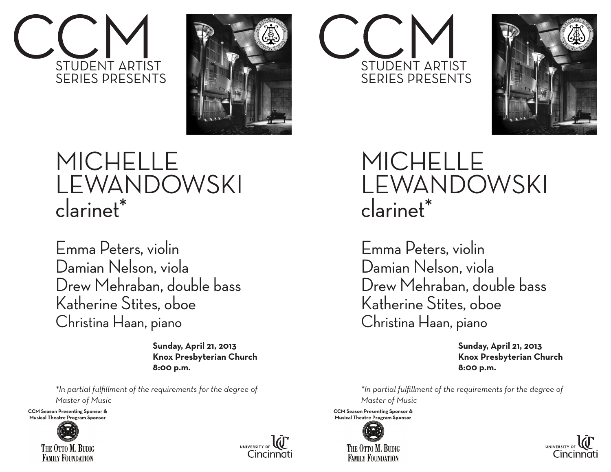



## MICHELLE LEWANDOWSKI clarinet\*

Emma Peters, violin Damian Nelson, viola Drew Mehraban, double bass Katherine Stites, oboe Christina Haan, piano

> **Sunday, April 21, 2013 Knox Presbyterian Church 8:00 p.m.**

*\*In partial fulfillment of the requirements for the degree of Master of Music*

**CCM Season Presenting Sponsor & Musical Theatre Program Sponsor**